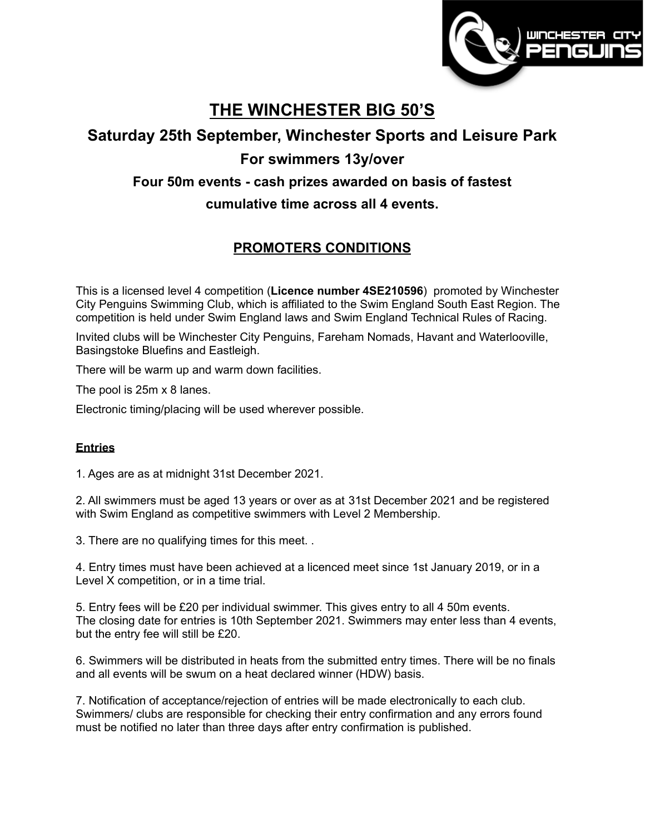

# **THE WINCHESTER BIG 50'S**

## **Saturday 25th September, Winchester Sports and Leisure Park**

# **For swimmers 13y/over**

### **Four 50m events - cash prizes awarded on basis of fastest**

### **cumulative time across all 4 events.**

## **PROMOTERS CONDITIONS**

This is a licensed level 4 competition (**Licence number 4SE210596**) promoted by Winchester City Penguins Swimming Club, which is affiliated to the Swim England South East Region. The competition is held under Swim England laws and Swim England Technical Rules of Racing.

Invited clubs will be Winchester City Penguins, Fareham Nomads, Havant and Waterlooville, Basingstoke Bluefins and Eastleigh.

There will be warm up and warm down facilities.

The pool is 25m x 8 lanes.

Electronic timing/placing will be used wherever possible.

#### **Entries**

1. Ages are as at midnight 31st December 2021.

2. All swimmers must be aged 13 years or over as at 31st December 2021 and be registered with Swim England as competitive swimmers with Level 2 Membership.

3. There are no qualifying times for this meet. .

4. Entry times must have been achieved at a licenced meet since 1st January 2019, or in a Level X competition, or in a time trial.

5. Entry fees will be £20 per individual swimmer. This gives entry to all 4 50m events. The closing date for entries is 10th September 2021. Swimmers may enter less than 4 events, but the entry fee will still be £20.

6. Swimmers will be distributed in heats from the submitted entry times. There will be no finals and all events will be swum on a heat declared winner (HDW) basis.

7. Notification of acceptance/rejection of entries will be made electronically to each club. Swimmers/ clubs are responsible for checking their entry confirmation and any errors found must be notified no later than three days after entry confirmation is published.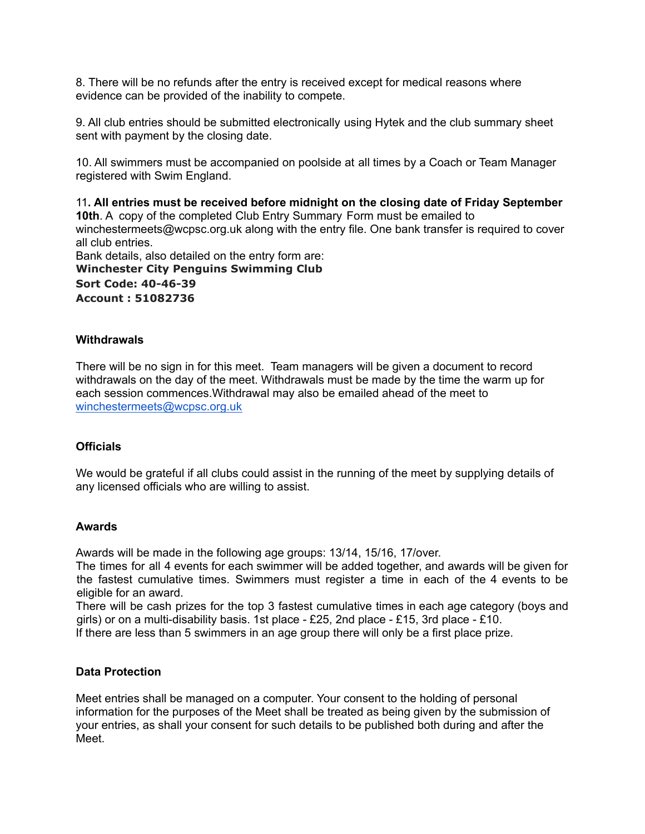8. There will be no refunds after the entry is received except for medical reasons where evidence can be provided of the inability to compete.

9. All club entries should be submitted electronically using Hytek and the club summary sheet sent with payment by the closing date.

10. All swimmers must be accompanied on poolside at all times by a Coach or Team Manager registered with Swim England.

11**. All entries must be received before midnight on the closing date of Friday September 10th**. A copy of the completed Club Entry Summary Form must be emailed to winchestermeet[s@wcpsc.org.uk](mailto:openmeets@wcpsc.org.uk) along with the entry file. One bank transfer is required to cover all club entries. Bank details, also detailed on the entry form are: **Winchester City Penguins Swimming Club**

**Sort Code: 40-46-39 Account : 51082736**

#### **Withdrawals**

There will be no sign in for this meet. Team managers will be given a document to record withdrawals on the day of the meet. Withdrawals must be made by the time the warm up for each session commences.Withdrawal may also be emailed ahead of the meet to [winchestermeets@wcpsc.org.uk](mailto:winchestermeets@wcpsc.org.uk)

#### **Officials**

We would be grateful if all clubs could assist in the running of the meet by supplying details of any licensed officials who are willing to assist.

#### **Awards**

Awards will be made in the following age groups: 13/14, 15/16, 17/over.

The times for all 4 events for each swimmer will be added together, and awards will be given for the fastest cumulative times. Swimmers must register a time in each of the 4 events to be eligible for an award.

There will be cash prizes for the top 3 fastest cumulative times in each age category (boys and girls) or on a multi-disability basis. 1st place - £25, 2nd place - £15, 3rd place - £10.

If there are less than 5 swimmers in an age group there will only be a first place prize.

#### **Data Protection**

Meet entries shall be managed on a computer. Your consent to the holding of personal information for the purposes of the Meet shall be treated as being given by the submission of your entries, as shall your consent for such details to be published both during and after the Meet.